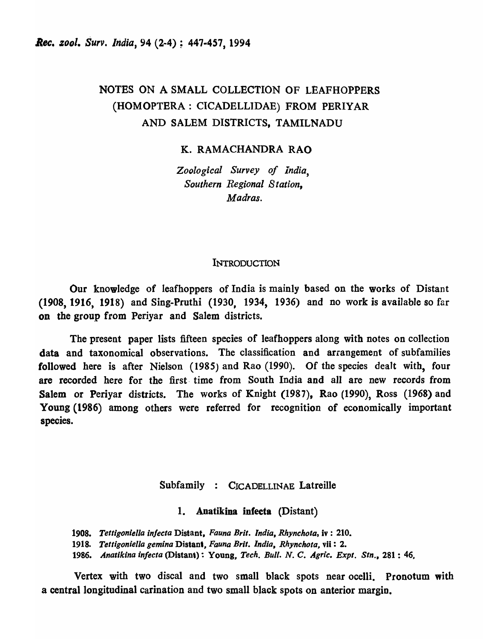# NOTES ON A SMALL COLLECTION OF LEAFHOPPERS (HOMOPTERA: CICADELLIDAE) FROM PERIYAR AND SALEM DISTRICTS, TAMILNADU

K. RAMACHANDRA RAO

*Zoological Survey of India, Southern Regional Station, Madras.* 

## **INTRODUCTION**

Our knowledge of leafhoppers of India is mainly based on the works of Distant (1908, 1916, 1918) and Sing-Pruthi (1930, 1934, 1936) and no work is available so far on the group from Periyar and Salem districts.

The present paper lists fifteen species of leafhoppers along with notes on collection data and taxonomical observations. The classification and arrangement of subfamilies followed here is after Nielson (1985) and Rao (1990). Of the species dealt with, four are recorded here for the first· time from South India and all are new records from Salem or Periyar districts. The works of Knight (1987), Rao (1990), Ross (1968) and Young (1986) among others were referred for recognition of economically important species.

# Subfamily : CICADELLINAE Latreille

1. Anatikina infecta (Distant)

*1908. Telligoniella in/ecla* Distant, *Fauna Brit. India, Rhynchota,* iv : 210.

*1918. Telligoniella gemina* Distant, *Fauna Brit. India, Rhynchola,* vii : 2.

*1986. Anatikina in/ecta* (Distant): Young, *Tech. Bull. N.* C. *Agric. Expl. Sin.,* 281 : 46.

Vertex with two discal and two small black spots near ocelli. Pronotum with a central longitudinal carination and two small black spots on anterior margin.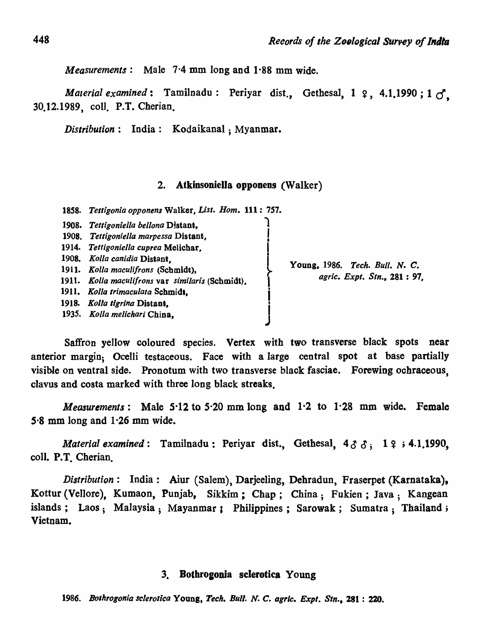*Measurements*: Male 7.4 mm long and 1.88 mm wide.

*Material examined*: Tamilnadu: Periyar dist., Gethesal,  $1 \, 9$ , 4.1.1990;  $1 \, 0$ . 30.12.1989, coll. P.T. Cherian.

*Distribution:* India: Kodaikanal; Myanmar.

#### 2. Atkinsoniella opponens (Walker)

*18S8. Tell/gonia opponens* Walker, *List. Hom.* 111: 757.

| 1908.<br>1914.<br><b>1908.</b><br>1911.<br>1911.<br>1918. | Tettigoniella bellona Distant,<br>1908. Tettigoniella marpessa Distant,<br>Tettigoniella cuprea Melichar,<br>Kolla canidia Distant.<br>Kolla maculifrons (Schmidt),<br>Kolla maculifrons var similaris (Schmidt).<br>1911. Kolla trimaculata Schmidt,<br>Kolta tigrina Distant,<br>1935. Kolla melichari China. | Young, 1986. Tech. Bull. N. C.<br>agric. Expt. Stn., 281: 97. |
|-----------------------------------------------------------|-----------------------------------------------------------------------------------------------------------------------------------------------------------------------------------------------------------------------------------------------------------------------------------------------------------------|---------------------------------------------------------------|
|-----------------------------------------------------------|-----------------------------------------------------------------------------------------------------------------------------------------------------------------------------------------------------------------------------------------------------------------------------------------------------------------|---------------------------------------------------------------|

Saffron yellow coloured species. Vertex with two transverse black spots near anterior margin; Ocelli testaceous. Face with a large central spot at base partially visible on ventral side. Pronotum with two transverse black fasciae. Forewing ochraceous, clavus and costa marked with three long black streaks.

*MeQ3urements:* Male *S'12* to S'20 mm long and 1·2 to 1·28 mm wide. Female 5-8 mm long and 1·26 mm wide.

*Material examined*: Tamilnadu: Periyar dist., Gethesal,  $4 \delta \delta$ ; 19; 4.1.1990, coll. P.T. Cherian.

*Distribution:* India: Aiur (Salem), Darjeeling, Dehradun, Fraserpet (Karnataka), Kottur (Vellore), Kumaon, Punjab, Sikkim; Chap; China; Fukien; Java; Kangean islands; Laos; Malaysia; Mayanmar; Philippines; Sarowak; Sumatra; Thailand; Vietnam.

# 3. Bothrogooia sclerotica Young

*1986. Bolhrogonia sclerotica* Y OUDg, *Tech. Bull\_ N. C. agrlc. Expt. Stn.,* 281 : 220.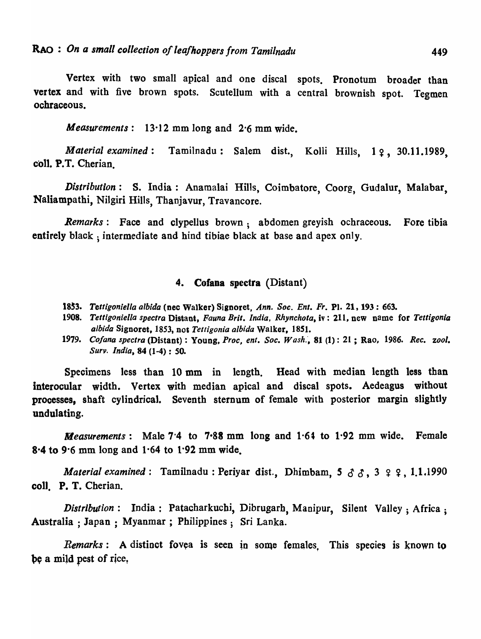Vertex with two small apical and one discal spots. Pronotum broader than vertex and with five brown spots. Scutellum with a central brownish spot. Tegmen ochraceous.

*Measurements:* 13·12 mm long and 2·6 mm wide.

*Material examined*: Tamilnadu: Salem dist., Kolli Hills, 12, 30.11.1989, coll. P.T. Cherian

*Distribution:* S. India: Anamalai Hills, Coimbatore, Coorg, Gudalur, Malabar, Naliampathi, Nilgiri Hills, Thanjavur, Travancore.

*Remarks:* Face and clypellus brown; abdomen greyish ochraceous. Fore tibia entirely black; intermediate and hind tibiae black at base and apex only.

# 4. Cofana spectra (Distant)

- 18~3. *Tettigoniella albida* (nec Walker) Signoret, *Ann. Soc. En'. Fr.* Pl. 21, 193: 663.
- *1908. Tett/goniella spectra* Distant, *Fauna Brit. India. Rhynchola,* iv: 211, new name for *Telligonia albida* Signoret, 1853, nOI *Telligonia albida* Walker, 18S1.
- *1979. Co/ana spectra* (Distant) : Young, *Proc, ent. Soc. Wash:,* 81 (1): 21 ; Rao, 1986. *Rec. zool. Surv. India,* 84 (1-4) : *SO.*

Specimens less than 10 mm in length. Head with median length less than interocular width. Vertex with median apical and discal spots. Aedeagus without processes, shaft cylindrical. Seventh sternum of female with posterior margin slightly undulating.

*Measurements*: Male  $7.4$  to  $7.88$  mm long and  $1.64$  to  $1.92$  mm wide. Female 8-4 to 9·6 mm long and 1·64 to 1·92 mm wide.

*Material examined:* Tamilnadu: Periyar dist., Dhimbam,  $5 \delta \delta$ ,  $3 \gamma$ ,  $2 \gamma$ , 1.1.1990 coli. P. T. Cherian.

*Distribution*: India: Patacharkuchi, Dibrugarh, Manipur, Silent Valley: Africa: Australia ; Japan ; Myanmar ; Philippines; Sri Lanka.

*Remarks*: A distinct fovea is seen in some females. This species is known to be a mild pest of rice,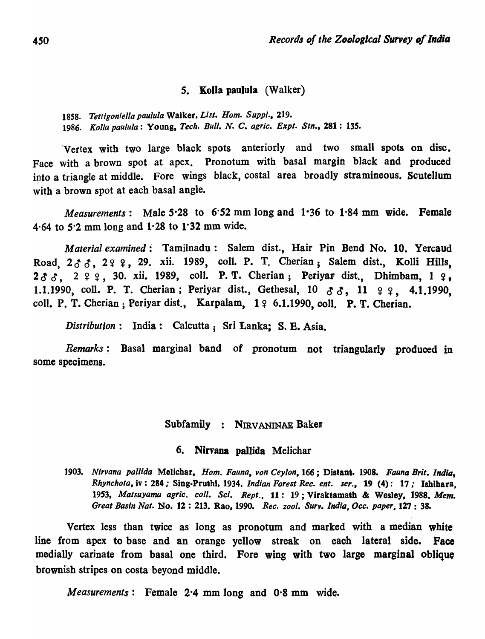## 5. Kolla pauluJa (Walker)

*1858. Tettigon;ella paulula* Walker, *List. Hom. Suppl., 219. 1986. Kolla paulula:* Young, *Tech. Bull. N.* C. *agric. Expt. Sin.,* 281: *13S.* 

'Vertex with two large black spots anteriorly and two small spots on disc. Face with a brown spot at apex. Pronotum with basal margin black and produced into a triangle at middle. Fore wings black, costal area broadly stramineous. Scutellum with a brown spot at each basal angle.

*Measurements:* Male *S·28* to 6·52 mm long and 1-36 to 1·84 mm wide. Female 4·64 to *S·2* mm long and 1·28 to 1·32 mm wide.

*Material examined:* Tamilnadu: Salem dist., Hair Pin Bend No. 10. Yercaud Road,  $2 \land \land$ ,  $2 \circ 9$ , 29. xii. 1989, coll. P. T. Cherian; Salem dist., Kolli Hills,  $2 \delta \delta$ ,  $2 \xi \xi$ , 30. xii. 1989, coll. P. T. Cherian; Periyar dist., Dhimbam, 1  $\epsilon$ . 1.1.1990, coll. P. T. Cherian; Periyar dist., Gethesal,  $10 \text{ d } \text{d } \text{d }$ ,  $11 \text{ q }$ , 4.1.1990, coll. P. T. Cherian; Periyar dist., Karpalam,  $1 \nsubseteq 6.1.1990$ , coll. P. T. Cherian.

*Distribution*: India: Calcutta; Sri Lanka; S. E. Asia.

*Remarks;* Basal marginal band of pronotum not triangularly produced in some specimens.

#### Subfamily : NIRVANINAE Baker

# 6. Nirvana pallida Melichar

*1903. Nirvana paUida* Melichar, *Hom. Fauna, von Ceylon,* 166; Distant. 1908. *Fauna Brit. India, Rhynchota,* iv : 284,· Sing-Pruthl, 1934. *Indian Forest Rec. ent. ser.,* 19 (4): 17,· Ishihara, *19S3, Matsuyamu agric. coli. Sci. Rept.,* 11: 19; Viraktamath & Wesley, 1988. *Mem. Great Basin Nat.* No. 12 : 213. Rao, 1990. *Rec. zool. Surv. India,Occ. paper.* 127 : 38.

Vertex less than twice as long as pronotum and marked with a median white line from apex to base and an orange yellow streak on each lateral side. Face medially carinate from basal one third. Fore wing with two large marginal oblique brownish stripes on costa beyond middle.

*Measurements*: Female 2.4 mm long and 0.8 mm wide.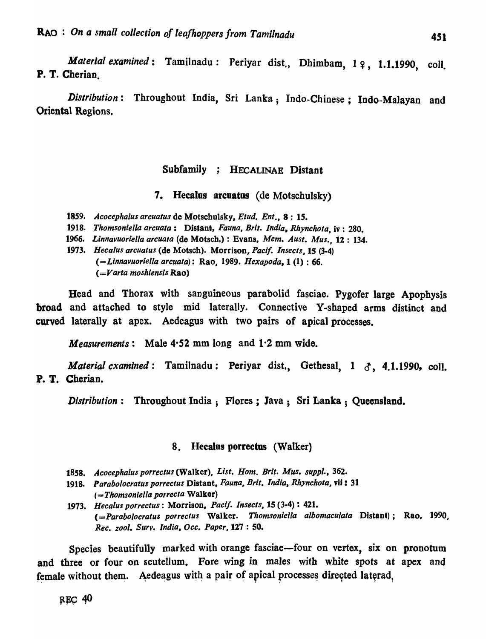*Material examined*: Tamilnadu: Periyar dist., Dhimbam, 1 º, 1.1.1990, coll. P. T. Cherian.

*Distribution:* Througbout India, Sri Lanka; Indo-Chinese; Indo-Malayan and Oriental Regions.

# Subfamily ; HECALINAE Distant

#### 7. Hecalos arcoatus (de Motschulsky)

*1859. Acocephalus arcuatus* de Motschulsky. *Etud. Ent .•* 8: *IS.* 

*1918. Thomsoniella areuata:* Distant, *Fauna, Brit. India. Rhynchota,* iv : 280.

*1966. Linnavuor;ella arcuala* (de Motsch,) : Evans, *Mem. Aust. Alus.,* 12: 134.

*1973. Heea/us arcuatus* (de Motsch). Morrison, *Pacif. Insects,* 15 (3-4) *(=Linnavlloriella areuata):* Rao, 1989. *Hexapoda,* 1 (1) : 66. ( = *Varta moshiens;s* Rao)

Head and Thorax with sanguineous parabolid fasciae. Pygofer large Apophysis broad and attached to style mid laterally. Connective Y-sbaped arms distinct and curved laterally at apex. Aedeagus with two pairs of apical processes.

*Measurements:* Male 4'52 mm long and 1·2 mm wide.

*Material cxamined*: Tamilnadu: Periyar dist., Gethesal, 1  $\delta$ , 4.1.1990, coll. P. T. Cherian.

*Distribution:* Throughout India; Flores; Java; Sri Lanka ; Queensland.

# 8. Hecalos porrectas (Walker)

- *1858. Acocephalus porreetus* (Walker), *List. Hom. Brit. Mus. suppl .• 362.*
- *1918. Paraboloeratus porrectus* Distant, *Fauna, Brit. India. Rhynchota,* vii: 31 (=-*Thomsoniella porrecta* Walker)

*1973. Hecalus porrectus:* Morrison, *Pac;f. Insects,* 15 (3-4) : 421. *(=Parabo!ocratus porrectus* Walker. *Thomsoniella albomaeulata* Distant); Rao, 1990, *Rec. zool. Surv. India, Dec. Paper,* 127 : 50.

Species beautifully marked with orange fasciae—four on vertex, six on pronotum and three or four on scutellum. Fore wing in males with white spots at apex and female without them. Aedeagus with a pair of apical processes directed laterad,

 $REC$  40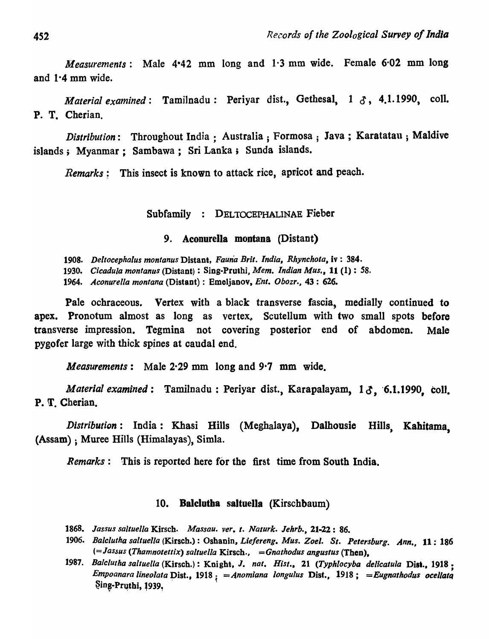*Measurements:* Male 4-42 mm long and 1·3 mm wide. Female 6·02 mm long and 1·4 mm wide.

*Material examined*: Tamilnadu: Periyar dist., Gethesal, 1  $\delta$ , 4.1.1990, coll. P. T. Cherian.

*Distribution*: Throughout India; Australia; Formosa; Java; Karatatau; Maldive islands; Myanmar; Sambawa; Sri Lanka; Sunda islands.

*Remarks*: This insect is known to attack rice, apricot and peach.

# Subfamily : DELTOCEPHALINAE Fieber

## 9. Aconurella montana (Distant)

*1908. Deltocephalus montanus* Distant, *Fauna Brit. India, Rhynchota,* iv: 384.

*1930. Cicadula montanus* (Distant) : Sing-Pruthi, *Mem. Indian Mus.,* 11 (1) : 58.

*1964. Aconurella montana* (Distant) : Emeljanov, *Ent. Obozr.,* 43 : 626.

Pale ochraceous. Vertex with a black transverse fascia, medially continued to apex. Pronotum almost as long as vertex. Scutellum with two small spots before transverse impression. Tegmina not covering posterior end of abdomen. Male pygofer large with thick spines at caudal end.

*Measurements:* Male 2·29 mm long and 9·7 mm wide.

*Material examined*: Tamilnadu: Periyar dist., Karapalayam, 13, 6.1.1990, coll. P. T. Cherian.

*Distribution:* India: Khasi Hills (Meghalaya), Dalhousie Hills, Kabitama, (Assam) ; Muree Hills (Himalayas), Simla.

*Remarks*: This is reported here for the first time from South India.

# 10. Balclotba saltuella (Kirschbaum)

- *1868. Jassus sa/tuel/a* Kirsch. *Massau. ver. t. Naturk. Jehrb.,* 21-22: 86.
- *1906. Balclutha saltuella* (Kirsch.) : Oshanin, *Lie/ereng. Mus. Zoel. St. Petersburg. Ann.,* 11: 186 *(=JasJus (Thamnotettix) saltuella* Kirsch., = *Gnathodus angustus* (Then).
- 1987. Balclutha saltuella (Kirsch.): Knight, J. nat. Hist., 21 (Typhlocyba delicatula Dist., 1918;<br>Empoanara lineolata Dist., 1918; = Anomiana longulus Dist., 1918; = Eugnathodus ocellata *Empoanara lineolata* Dist., 1918  $\frac{1}{5}$  = Anomiana longulus Dist., 1918  $\frac{1}{5}$  = Eugnathodus ocellata Sing-Pruthi, 1939,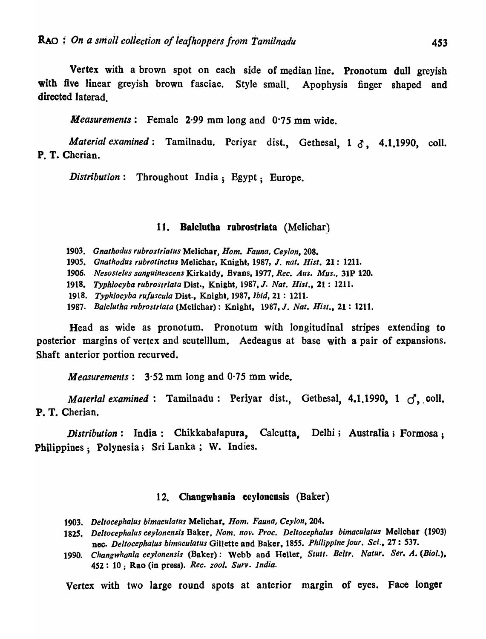Vertex with a brown spot on each side of median line. Pronotum dull greyish with five linear greyish brown fasciae. Style small. Apophysis finger shaped and directed laterad.

*Measurements:* Female 2·99 mm long and 0·75 mm wide.

*Material examined*: Tamilnadu. Periyar dist., Gethesal, 1  $\xi$ , 4.1.1990, coll. P. T. Cherian.

*Distribution:* Throughout India; Egypt; Europe.

#### 11. Balclutha rubrostriata (Melichar)

*1903. Gnathodus rubrostriatus* Melichar, *Hom. Fauna, Ceylon, 208.* 

*1905. Gnathodus rubrotinctus* Melichar, Knight, 1987, J. *nat. Hist.* 21: 1211.

*1906. Nesos/e/es sanguinescens* Kirkaldy, Evans, 1977, *Ree. Aus. Mus.,* 31P 120.

*1918. Typhlocyba rubrostriata* Dist •• Knight, 1987. J. *Nat. Hist.,* 21: 1211.

1918. Typhlocyba rufuscula Dist., Knight, 1987, *Ibid.* 21: 1211.

*1987. Balelutha rubrostriata* (Melichar): Knight, 1987. J. *Nat. Hist.,* 21 : 1211.

Head as wide as pronotum. Pronotum with longitudinal stripes extending to posterior margins of vertex and scutelllum. Aedeagus at base with a pair of expansions. Shaft anterior portion recurved.

*Measurements:* 3·52 mm long and 0·75 mm wide.

*Material examined:* Tamilnadu: Periyar dist., Gethesal,  $4.1.1990$ ,  $1 \leq \ldots$  coll. P. T. Cherian.

*Distribution*: India: Chikkabalapura, Calcutta, Delhi; Australia; Formosa; Philippines; Polynesia; Sri Lanka; W. Indies.

#### 12. Changwhsoia eeyionensis (Baker)

- *1903. Deltocephalus bimaculatus* Melichar, *Hom. Fauna, Ceylon, 204.*
- *1825. Deltocephalus ceylonensis* Baker, *Nom. nov. Proc. Deltocephalus bimaculatus* Melichar (1903) nec. *Deltocephalus bimaculatus* Gillette and Baker, 1855. Philippine jour. Sci., 27: 537.
- 1990. Changwhania ceylonensis (Baker): Webb and Heller, Stutt. Beltr. Natur. Ser. A. (Biol.). 452: 10; Rao (in press). *Ree. zool. Surv. India.*

Vertex with two large round spots at anterior margin of eyes. Face longer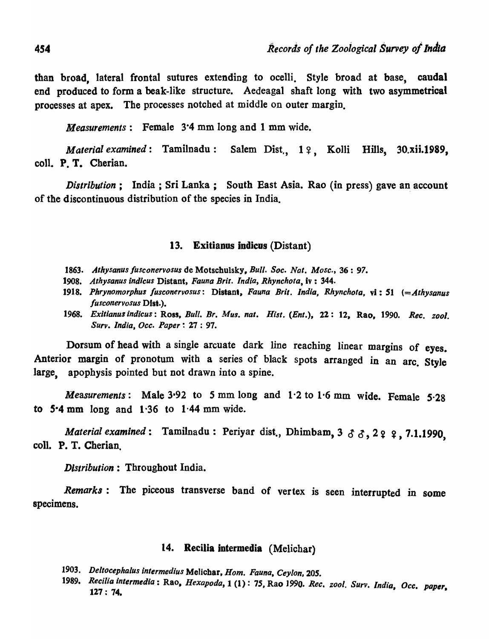than broad, lateral frontal sutures extending to ocelli. Style broad at base, caudal end produced to form a beak-like structure. Aedeagal shaft long with two asymmetrical processes at apex. The processes notched at middle on outer margin.

*Measurements:* Female 3·4 mm long and 1 mm wide.

*Material examined*: Tamilnadu: Salem Dist., 19, Kolli Hills, 30.xii.1989, coll. P. T. Cherian.

*Distribution*: India; Sri Lanka; South East Asia. Rao (in press) gave an account of the discontinuous distribution of the species in India.

## 13. Exitianus indicus (Distant)

- *1863. Athysanus lusconervosus* de Motschulsky, *Bull. Soc. Nat. Mosc.,* 36 : 97.
- *1908. Athysanus indicus* Distant, *Fauna Brit. India, Rhynchota,* iv: 344.
- *1918. Phrynomorphus fusconervosus:* Distant, *Fauna Brit. India, Rhynchota,* vi: 51 *(=Athysanus lusconervosus* Dlst.).
- 1968. Exitianus indicus: Ross, *Bull. Br. Mus. nat. Hist. (Ent.)*, 22: 12, Rao, 1990. *Rec. zool. Surv. India, Occ. Paper* ~ 27 : 97.

Dorsum of head with a single arcuate dark line reaching linear margins of eyes. Anterior margin of pronotum with a series of black spots arranged in an arc. Style large, apophysis pointed but not drawn into a spine.

*Measurements:* Male 3-92 to S mm long and 1'2 to 1'6 mm wide. Female 5-28 to 5-4 mm long and 1'36 to 1·44 mm wide.

*Material examined*: Tamilnadu: Periyar dist., Dhimbam, 3 3 3, 2 2 2, 7.1.1990, colI. P. T. Cherian.

*Distribution:* Throughout India.

*Remarks:* The piceous transverse band of vertex is seen interrupted in some specimens.

# 14. Recilia intermedia (Melichar)

- *1903. Deltocephalus intermedius* MeJichar, *Hom. Fauna, Cey/on,20S.*
- *1989. Recilia intermedia:* Rao. *Hexopoda,* 1 (1): *7S,* Rao 1990. *Rec. zool. Surv. ind,'a, Occ. paper,*  127: 74.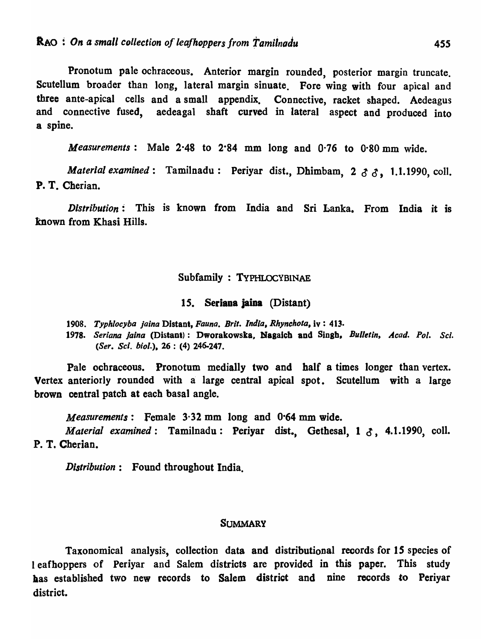Pronotum pale ocbraceous. Anterior margin rounded, posterior margin truncate. Scutellum broader than long, lateral margin sinuate. Fore wing with four apical and three ante-apical cells and a small appendix. Connective, racket shaped. Aedeagus and connective fused, aedeagal shaft curved in lateral aspect and produced into a spine.

*Measurements:* Male 2·48 to 2·84 mm long and 0·76 to 0·80 mm wide.

*Material examined*: Tamilnadu: Periyar dist., Dhimbam, 2 3 3, 1.1.1990, coll. P. T. Cherian.

*Distribution:* This is known from India and Sri Lanka. From India it is mown from Khasi Hills.

## Subfamily : TYPHLOCYBINAE

#### 15. Seriana jaina (Distant)

*1908. Typhlocyba jaina* Distant, *Fauna. Brit. India, Rhynchota,* iv : 413.

1978. Seriana jaina (Distant): Dworakowska, Nagaich and Singh, Bulletin, Acad. Pol. Sci. *(Ser. Sci. bioi.).* 26 : (4) 246-247.

Pale ochraceous. Pronotum medially two and half a times longer than vertex. Vertex anteriorly rounded with a large central apical spot. Scutellum with a large brown central patch at each basal angle.

*Measurements:* Female 3·32 mm long and 0·64 mm wide.

*Material examined:* Tamilnadu: Periyar dist., Gethesal, 1 3, 4.1.1990, coll. P. T. Cherian.

*Distribution:* Found throughout India.

#### **SUMMARY**

Taxonomical analysis, collection data and distributional records for 15 species of I eafhoppers of Periyar and Salem districts are provided in this paper. This study has established two new records to Salem district and nine records to Periyar district.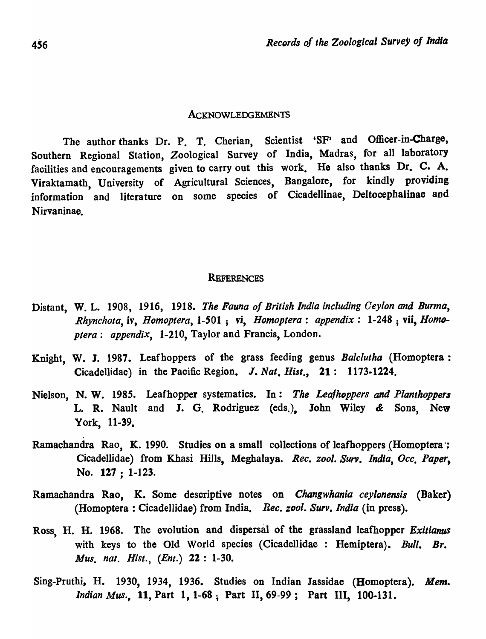#### ACKNOWLEDGEMENTS

The author thanks Dr. P. T. Cherian, Scientist 'SF' and Officer-in-Charge, Southern Regional Station, Zoological Survey of India, Madras, for all laboratory facilities and encouragements given to carry out this work. He also thanks Dr. C. A. Viraktamath, University of Agricultural Sciences, Bangalore, for kindly providing information and literature on some species of Cicadellinae, Deltocepbalinae and Nirvaninae.

#### **REFERENCES**

- Distant, W. L. 1908, 1916, 1918. *The Fauna of British India including Ceylon and Burma*, *Rhynchota, iv, Homoptera, 1-501*; vi, *Homoptera: appendix: 1-248*; vii, *Homoplera: appendix,* 1-210, Taylor and Francis, London.
- Knight, W. J. 1987. Leafhoppers of the grass feeding genus *Balclutha* (Homoptera: Cicadellidae) in the Pacific Region. J. *Nat, Hist.,* 21: 1173.1224.
- Nielson, N. W. 1985. Leafhopper systematics. In: The Leafhoppers and Planthoppers L. R. Nault and J. G. Rodriguez (eds.), John Wiley & Sons, New York, 11-39.
- Ramachandra Rao, K. 1990. Studies on a small collections of leafhoppers (Homoptera '; Cicadellidae) from Khasi Hills, Megbalaya. *Rec. zool.* Surv. *India, Occ, Paper,*  No. 127 : 1-123.
- Ramachandra Rao, K. Some descriptive notes on *Changwhania ceylonensis* (Baker) (Homoptera : Cicadellidae) from India. *Rec. zool.* Surv. *India* (in press).
- Ross, H. H. 1968. The evolution and dispersal of the grassland leafhopper *Exitianus*  with keys to the Old World species (Cicadellidae : Hemiptera). *Bull. Br. Mus. nat. Hist., (Enl.)* 22: 1-30.
- Sing-Pruthi, H. 1930, 1934, 1936. Studies on Indian Jassidae (Bomoptera). *Mem. Indian Mus.,* 11, Part 1, 1-68; Part II, 69-99; Part III, 100-131.